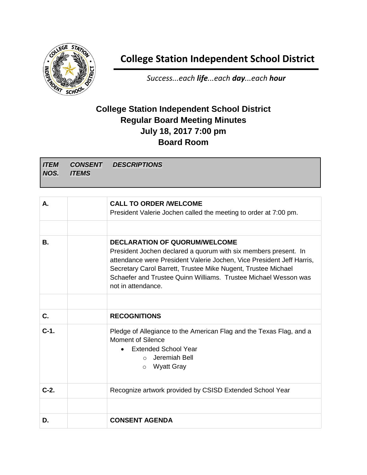

## **College Station Independent School District**

*Success...each life...each day...each hour*

## **College Station Independent School District Regular Board Meeting Minutes July 18, 2017 7:00 pm Board Room**

*ITEM NOS. CONSENT ITEMS DESCRIPTIONS*

| А.      | <b>CALL TO ORDER /WELCOME</b><br>President Valerie Jochen called the meeting to order at 7:00 pm.                                                                                                                                                                                                                                          |
|---------|--------------------------------------------------------------------------------------------------------------------------------------------------------------------------------------------------------------------------------------------------------------------------------------------------------------------------------------------|
|         |                                                                                                                                                                                                                                                                                                                                            |
| В.      | <b>DECLARATION OF QUORUM/WELCOME</b><br>President Jochen declared a quorum with six members present. In<br>attendance were President Valerie Jochen, Vice President Jeff Harris,<br>Secretary Carol Barrett, Trustee Mike Nugent, Trustee Michael<br>Schaefer and Trustee Quinn Williams. Trustee Michael Wesson was<br>not in attendance. |
|         |                                                                                                                                                                                                                                                                                                                                            |
| C.      | <b>RECOGNITIONS</b>                                                                                                                                                                                                                                                                                                                        |
| $C-1$ . | Pledge of Allegiance to the American Flag and the Texas Flag, and a<br>Moment of Silence<br><b>Extended School Year</b><br>Jeremiah Bell<br>$\bigcap$<br>Wyatt Gray<br>$\circ$                                                                                                                                                             |
| $C-2.$  | Recognize artwork provided by CSISD Extended School Year                                                                                                                                                                                                                                                                                   |
|         |                                                                                                                                                                                                                                                                                                                                            |
| D.      | <b>CONSENT AGENDA</b>                                                                                                                                                                                                                                                                                                                      |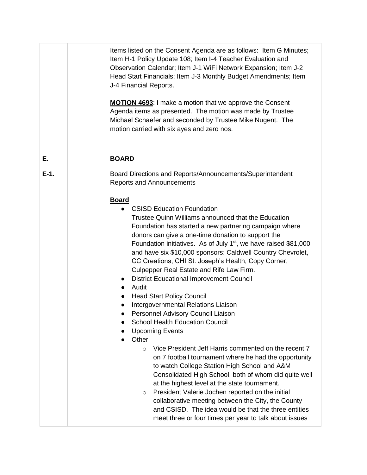|         | Items listed on the Consent Agenda are as follows: Item G Minutes;<br>Item H-1 Policy Update 108; Item I-4 Teacher Evaluation and<br>Observation Calendar; Item J-1 WiFi Network Expansion; Item J-2<br>Head Start Financials; Item J-3 Monthly Budget Amendments; Item<br>J-4 Financial Reports.<br><b>MOTION 4693: I make a motion that we approve the Consent</b><br>Agenda items as presented. The motion was made by Trustee<br>Michael Schaefer and seconded by Trustee Mike Nugent. The<br>motion carried with six ayes and zero nos.                                                                                                                                                                                                                                                                                                                                                                                                                                                                                                                                                                                                                                                                                                            |
|---------|---------------------------------------------------------------------------------------------------------------------------------------------------------------------------------------------------------------------------------------------------------------------------------------------------------------------------------------------------------------------------------------------------------------------------------------------------------------------------------------------------------------------------------------------------------------------------------------------------------------------------------------------------------------------------------------------------------------------------------------------------------------------------------------------------------------------------------------------------------------------------------------------------------------------------------------------------------------------------------------------------------------------------------------------------------------------------------------------------------------------------------------------------------------------------------------------------------------------------------------------------------|
|         |                                                                                                                                                                                                                                                                                                                                                                                                                                                                                                                                                                                                                                                                                                                                                                                                                                                                                                                                                                                                                                                                                                                                                                                                                                                         |
| Е.      | <b>BOARD</b>                                                                                                                                                                                                                                                                                                                                                                                                                                                                                                                                                                                                                                                                                                                                                                                                                                                                                                                                                                                                                                                                                                                                                                                                                                            |
| $E-1$ . | Board Directions and Reports/Announcements/Superintendent<br><b>Reports and Announcements</b>                                                                                                                                                                                                                                                                                                                                                                                                                                                                                                                                                                                                                                                                                                                                                                                                                                                                                                                                                                                                                                                                                                                                                           |
|         | <b>Board</b><br><b>CSISD Education Foundation</b><br>Trustee Quinn Williams announced that the Education<br>Foundation has started a new partnering campaign where<br>donors can give a one-time donation to support the<br>Foundation initiatives. As of July $1st$ , we have raised \$81,000<br>and have six \$10,000 sponsors: Caldwell Country Chevrolet,<br>CC Creations, CHI St. Joseph's Health, Copy Corner,<br>Culpepper Real Estate and Rife Law Firm.<br><b>District Educational Improvement Council</b><br>Audit<br><b>Head Start Policy Council</b><br>Intergovernmental Relations Liaison<br>Personnel Advisory Council Liaison<br><b>School Health Education Council</b><br><b>Upcoming Events</b><br>Other<br>Vice President Jeff Harris commented on the recent 7<br>$\circ$<br>on 7 football tournament where he had the opportunity<br>to watch College Station High School and A&M<br>Consolidated High School, both of whom did quite well<br>at the highest level at the state tournament.<br>President Valerie Jochen reported on the initial<br>$\circ$<br>collaborative meeting between the City, the County<br>and CSISD. The idea would be that the three entities<br>meet three or four times per year to talk about issues |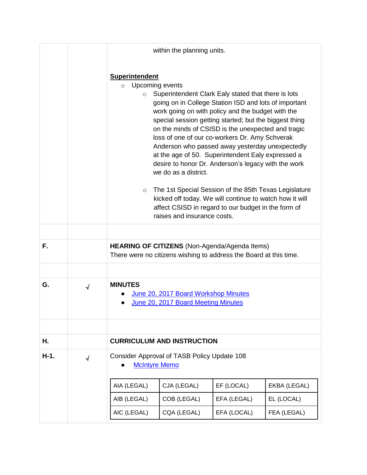|      |            |                                                        | within the planning units.                                                                                                                                                                                                                                                                                                                                                                                                                                                                                                                                                                                                                                                                                                                              |             |              |
|------|------------|--------------------------------------------------------|---------------------------------------------------------------------------------------------------------------------------------------------------------------------------------------------------------------------------------------------------------------------------------------------------------------------------------------------------------------------------------------------------------------------------------------------------------------------------------------------------------------------------------------------------------------------------------------------------------------------------------------------------------------------------------------------------------------------------------------------------------|-------------|--------------|
|      |            | <b>Superintendent</b><br>$\circ$<br>$\circ$<br>$\circ$ | Upcoming events<br>Superintendent Clark Ealy stated that there is lots<br>going on in College Station ISD and lots of important<br>work going on with policy and the budget with the<br>special session getting started; but the biggest thing<br>on the minds of CSISD is the unexpected and tragic<br>loss of one of our co-workers Dr. Amy Schverak<br>Anderson who passed away yesterday unexpectedly<br>at the age of 50. Superintendent Ealy expressed a<br>desire to honor Dr. Anderson's legacy with the work<br>we do as a district.<br>The 1st Special Session of the 85th Texas Legislature<br>kicked off today. We will continue to watch how it will<br>affect CSISD in regard to our budget in the form of<br>raises and insurance costs. |             |              |
| F.   |            |                                                        | HEARING OF CITIZENS (Non-Agenda/Agenda Items)                                                                                                                                                                                                                                                                                                                                                                                                                                                                                                                                                                                                                                                                                                           |             |              |
|      |            |                                                        | There were no citizens wishing to address the Board at this time.                                                                                                                                                                                                                                                                                                                                                                                                                                                                                                                                                                                                                                                                                       |             |              |
| G.   |            | <b>MINUTES</b>                                         |                                                                                                                                                                                                                                                                                                                                                                                                                                                                                                                                                                                                                                                                                                                                                         |             |              |
|      | $\sqrt{2}$ |                                                        | June 20, 2017 Board Workshop Minutes<br>June 20, 2017 Board Meeting Minutes                                                                                                                                                                                                                                                                                                                                                                                                                                                                                                                                                                                                                                                                             |             |              |
|      |            |                                                        |                                                                                                                                                                                                                                                                                                                                                                                                                                                                                                                                                                                                                                                                                                                                                         |             |              |
| Н.   |            |                                                        | <b>CURRICULUM AND INSTRUCTION</b>                                                                                                                                                                                                                                                                                                                                                                                                                                                                                                                                                                                                                                                                                                                       |             |              |
| H-1. | $\sqrt{ }$ | <b>McIntyre Memo</b>                                   | Consider Approval of TASB Policy Update 108                                                                                                                                                                                                                                                                                                                                                                                                                                                                                                                                                                                                                                                                                                             |             |              |
|      |            | AIA (LEGAL)                                            | CJA (LEGAL)                                                                                                                                                                                                                                                                                                                                                                                                                                                                                                                                                                                                                                                                                                                                             | EF (LOCAL)  | EKBA (LEGAL) |
|      |            | AIB (LEGAL)                                            | COB (LEGAL)                                                                                                                                                                                                                                                                                                                                                                                                                                                                                                                                                                                                                                                                                                                                             | EFA (LEGAL) | EL (LOCAL)   |
|      |            | AIC (LEGAL)                                            | CQA (LEGAL)                                                                                                                                                                                                                                                                                                                                                                                                                                                                                                                                                                                                                                                                                                                                             | EFA (LOCAL) | FEA (LEGAL)  |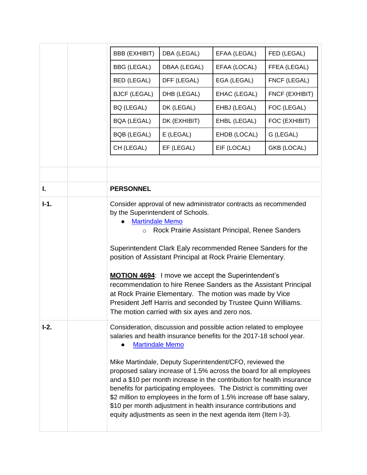|        | <b>BBB (EXHIBIT)</b>                                                                                                                                                                                                                                                                                                                                                                                                                                                                                                                                                                                                                                                    | DBA (LEGAL)                                                                                                                                                                                                                                                                                                                                                                                                                                                                                                                                                                                         | EFAA (LEGAL) | FED (LEGAL)    |
|--------|-------------------------------------------------------------------------------------------------------------------------------------------------------------------------------------------------------------------------------------------------------------------------------------------------------------------------------------------------------------------------------------------------------------------------------------------------------------------------------------------------------------------------------------------------------------------------------------------------------------------------------------------------------------------------|-----------------------------------------------------------------------------------------------------------------------------------------------------------------------------------------------------------------------------------------------------------------------------------------------------------------------------------------------------------------------------------------------------------------------------------------------------------------------------------------------------------------------------------------------------------------------------------------------------|--------------|----------------|
|        | <b>BBG (LEGAL)</b>                                                                                                                                                                                                                                                                                                                                                                                                                                                                                                                                                                                                                                                      | DBAA (LEGAL)                                                                                                                                                                                                                                                                                                                                                                                                                                                                                                                                                                                        | EFAA (LOCAL) | FFEA (LEGAL)   |
|        | <b>BED (LEGAL)</b>                                                                                                                                                                                                                                                                                                                                                                                                                                                                                                                                                                                                                                                      | DFF (LEGAL)                                                                                                                                                                                                                                                                                                                                                                                                                                                                                                                                                                                         | EGA (LEGAL)  | FNCF (LEGAL)   |
|        | <b>BJCF (LEGAL)</b>                                                                                                                                                                                                                                                                                                                                                                                                                                                                                                                                                                                                                                                     | DHB (LEGAL)                                                                                                                                                                                                                                                                                                                                                                                                                                                                                                                                                                                         | EHAC (LEGAL) | FNCF (EXHIBIT) |
|        | BQ (LEGAL)                                                                                                                                                                                                                                                                                                                                                                                                                                                                                                                                                                                                                                                              | DK (LEGAL)                                                                                                                                                                                                                                                                                                                                                                                                                                                                                                                                                                                          | EHBJ (LEGAL) | FOC (LEGAL)    |
|        | <b>BQA (LEGAL)</b>                                                                                                                                                                                                                                                                                                                                                                                                                                                                                                                                                                                                                                                      | DK (EXHIBIT)                                                                                                                                                                                                                                                                                                                                                                                                                                                                                                                                                                                        | EHBL (LEGAL) | FOC (EXHIBIT)  |
|        | <b>BQB (LEGAL)</b>                                                                                                                                                                                                                                                                                                                                                                                                                                                                                                                                                                                                                                                      | E (LEGAL)                                                                                                                                                                                                                                                                                                                                                                                                                                                                                                                                                                                           | EHDB (LOCAL) | G (LEGAL)      |
|        | CH (LEGAL)                                                                                                                                                                                                                                                                                                                                                                                                                                                                                                                                                                                                                                                              | EF (LEGAL)                                                                                                                                                                                                                                                                                                                                                                                                                                                                                                                                                                                          | EIF (LOCAL)  | GKB (LOCAL)    |
|        |                                                                                                                                                                                                                                                                                                                                                                                                                                                                                                                                                                                                                                                                         |                                                                                                                                                                                                                                                                                                                                                                                                                                                                                                                                                                                                     |              |                |
|        |                                                                                                                                                                                                                                                                                                                                                                                                                                                                                                                                                                                                                                                                         |                                                                                                                                                                                                                                                                                                                                                                                                                                                                                                                                                                                                     |              |                |
| I.     | <b>PERSONNEL</b>                                                                                                                                                                                                                                                                                                                                                                                                                                                                                                                                                                                                                                                        |                                                                                                                                                                                                                                                                                                                                                                                                                                                                                                                                                                                                     |              |                |
| $I-1.$ | <b>Martindale Memo</b><br>$\circ$                                                                                                                                                                                                                                                                                                                                                                                                                                                                                                                                                                                                                                       | Consider approval of new administrator contracts as recommended<br>by the Superintendent of Schools.<br>Rock Prairie Assistant Principal, Renee Sanders<br>Superintendent Clark Ealy recommended Renee Sanders for the<br>position of Assistant Principal at Rock Prairie Elementary.<br><b>MOTION 4694:</b> I move we accept the Superintendent's<br>recommendation to hire Renee Sanders as the Assistant Principal<br>at Rock Prairie Elementary. The motion was made by Vice<br>President Jeff Harris and seconded by Trustee Quinn Williams.<br>The motion carried with six ayes and zero nos. |              |                |
| $I-2.$ | Consideration, discussion and possible action related to employee<br>salaries and health insurance benefits for the 2017-18 school year.<br><b>Martindale Memo</b><br>Mike Martindale, Deputy Superintendent/CFO, reviewed the<br>proposed salary increase of 1.5% across the board for all employees<br>and a \$10 per month increase in the contribution for health insurance<br>benefits for participating employees. The District is committing over<br>\$2 million to employees in the form of 1.5% increase off base salary,<br>\$10 per month adjustment in health insurance contributions and<br>equity adjustments as seen in the next agenda item (Item I-3). |                                                                                                                                                                                                                                                                                                                                                                                                                                                                                                                                                                                                     |              |                |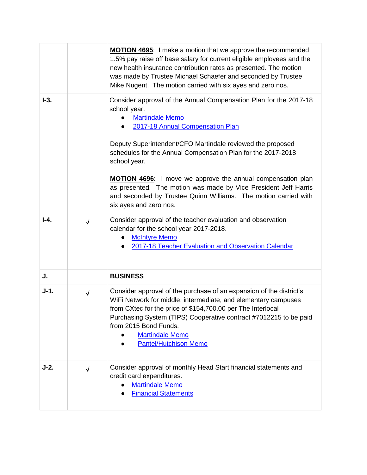|          |            | <b>MOTION 4695:</b> I make a motion that we approve the recommended<br>1.5% pay raise off base salary for current eligible employees and the<br>new health insurance contribution rates as presented. The motion<br>was made by Trustee Michael Schaefer and seconded by Trustee<br>Mike Nugent. The motion carried with six ayes and zero nos.                                                                                                                                                                                     |
|----------|------------|-------------------------------------------------------------------------------------------------------------------------------------------------------------------------------------------------------------------------------------------------------------------------------------------------------------------------------------------------------------------------------------------------------------------------------------------------------------------------------------------------------------------------------------|
| $I-3.$   |            | Consider approval of the Annual Compensation Plan for the 2017-18<br>school year.<br><b>Martindale Memo</b><br>2017-18 Annual Compensation Plan<br>Deputy Superintendent/CFO Martindale reviewed the proposed<br>schedules for the Annual Compensation Plan for the 2017-2018<br>school year.<br><b>MOTION 4696:</b> I move we approve the annual compensation plan<br>as presented. The motion was made by Vice President Jeff Harris<br>and seconded by Trustee Quinn Williams. The motion carried with<br>six ayes and zero nos. |
| $I - 4.$ | $\sqrt{ }$ | Consider approval of the teacher evaluation and observation<br>calendar for the school year 2017-2018.<br><b>McIntyre Memo</b><br>2017-18 Teacher Evaluation and Observation Calendar<br>$\bullet$                                                                                                                                                                                                                                                                                                                                  |
| J.       |            | <b>BUSINESS</b>                                                                                                                                                                                                                                                                                                                                                                                                                                                                                                                     |
| $J-1.$   | $\sqrt{}$  | Consider approval of the purchase of an expansion of the district's<br>WiFi Network for middle, intermediate, and elementary campuses<br>from CXtec for the price of \$154,700.00 per The Interlocal<br>Purchasing System (TIPS) Cooperative contract #7012215 to be paid<br>from 2015 Bond Funds.<br><b>Martindale Memo</b><br><b>Pantel/Hutchison Memo</b>                                                                                                                                                                        |
| $J-2.$   | $\sqrt{}$  | Consider approval of monthly Head Start financial statements and<br>credit card expenditures.<br><b>Martindale Memo</b><br><b>Financial Statements</b>                                                                                                                                                                                                                                                                                                                                                                              |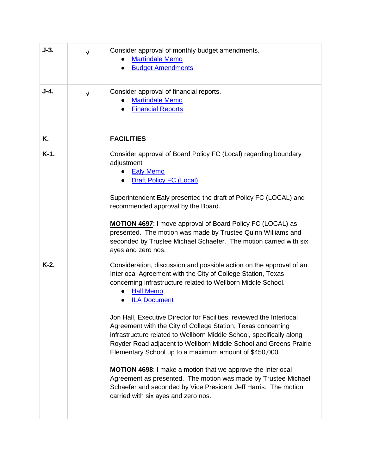| $J-3.$  | $\sqrt{}$  | Consider approval of monthly budget amendments.<br><b>Martindale Memo</b><br><b>Budget Amendments</b><br>$\bullet$                                                                                                                                                                                                                                                                                                                                                                                                                                                                                                                                                                                                                                                                                                                              |
|---------|------------|-------------------------------------------------------------------------------------------------------------------------------------------------------------------------------------------------------------------------------------------------------------------------------------------------------------------------------------------------------------------------------------------------------------------------------------------------------------------------------------------------------------------------------------------------------------------------------------------------------------------------------------------------------------------------------------------------------------------------------------------------------------------------------------------------------------------------------------------------|
| J-4.    | $\sqrt{ }$ | Consider approval of financial reports.<br><b>Martindale Memo</b><br><b>Financial Reports</b>                                                                                                                                                                                                                                                                                                                                                                                                                                                                                                                                                                                                                                                                                                                                                   |
|         |            |                                                                                                                                                                                                                                                                                                                                                                                                                                                                                                                                                                                                                                                                                                                                                                                                                                                 |
| Κ.      |            | <b>FACILITIES</b>                                                                                                                                                                                                                                                                                                                                                                                                                                                                                                                                                                                                                                                                                                                                                                                                                               |
| $K-1$ . |            | Consider approval of Board Policy FC (Local) regarding boundary<br>adjustment<br><b>Ealy Memo</b><br><b>Draft Policy FC (Local)</b><br>Superintendent Ealy presented the draft of Policy FC (LOCAL) and<br>recommended approval by the Board.<br><b>MOTION 4697:</b> I move approval of Board Policy FC (LOCAL) as<br>presented. The motion was made by Trustee Quinn Williams and<br>seconded by Trustee Michael Schaefer. The motion carried with six<br>ayes and zero nos.                                                                                                                                                                                                                                                                                                                                                                   |
| $K-2.$  |            | Consideration, discussion and possible action on the approval of an<br>Interlocal Agreement with the City of College Station, Texas<br>concerning infrastructure related to Wellborn Middle School.<br><b>Hall Memo</b><br><b>ILA Document</b><br>Jon Hall, Executive Director for Facilities, reviewed the Interlocal<br>Agreement with the City of College Station, Texas concerning<br>infrastructure related to Wellborn Middle School, specifically along<br>Royder Road adjacent to Wellborn Middle School and Greens Prairie<br>Elementary School up to a maximum amount of \$450,000.<br><b>MOTION 4698:</b> I make a motion that we approve the Interlocal<br>Agreement as presented. The motion was made by Trustee Michael<br>Schaefer and seconded by Vice President Jeff Harris. The motion<br>carried with six ayes and zero nos. |
|         |            |                                                                                                                                                                                                                                                                                                                                                                                                                                                                                                                                                                                                                                                                                                                                                                                                                                                 |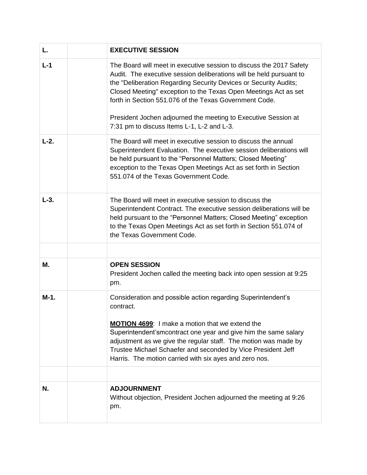| L.     | <b>EXECUTIVE SESSION</b>                                                                                                                                                                                                                                                                                                                                                                                                                                    |
|--------|-------------------------------------------------------------------------------------------------------------------------------------------------------------------------------------------------------------------------------------------------------------------------------------------------------------------------------------------------------------------------------------------------------------------------------------------------------------|
| $L-1$  | The Board will meet in executive session to discuss the 2017 Safety<br>Audit. The executive session deliberations will be held pursuant to<br>the "Deliberation Regarding Security Devices or Security Audits;<br>Closed Meeting" exception to the Texas Open Meetings Act as set<br>forth in Section 551.076 of the Texas Government Code.<br>President Jochen adjourned the meeting to Executive Session at<br>7:31 pm to discuss Items L-1, L-2 and L-3. |
| $L-2.$ | The Board will meet in executive session to discuss the annual<br>Superintendent Evaluation. The executive session deliberations will<br>be held pursuant to the "Personnel Matters; Closed Meeting"<br>exception to the Texas Open Meetings Act as set forth in Section<br>551.074 of the Texas Government Code.                                                                                                                                           |
| $L-3.$ | The Board will meet in executive session to discuss the<br>Superintendent Contract. The executive session deliberations will be<br>held pursuant to the "Personnel Matters; Closed Meeting" exception<br>to the Texas Open Meetings Act as set forth in Section 551.074 of<br>the Texas Government Code.                                                                                                                                                    |
|        |                                                                                                                                                                                                                                                                                                                                                                                                                                                             |
| М.     | <b>OPEN SESSION</b><br>President Jochen called the meeting back into open session at 9:25<br>pm.                                                                                                                                                                                                                                                                                                                                                            |
| $M-1.$ | Consideration and possible action regarding Superintendent's<br>contract.<br>MOTION 4699: I make a motion that we extend the<br>Superintendent'smcontract one year and give him the same salary<br>adjustment as we give the regular staff. The motion was made by<br>Trustee Michael Schaefer and seconded by Vice President Jeff<br>Harris. The motion carried with six ayes and zero nos.                                                                |
| N.     | <b>ADJOURNMENT</b><br>Without objection, President Jochen adjourned the meeting at 9:26<br>pm.                                                                                                                                                                                                                                                                                                                                                              |